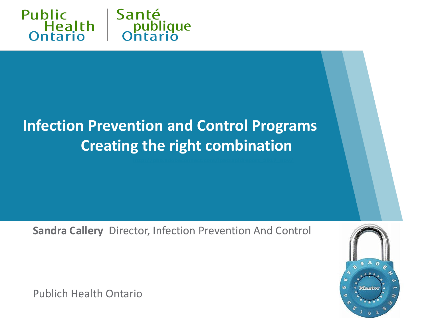

#### **Infection Prevention and Control Programs Creating the right combination**

**Sandra Callery** Director, Infection Prevention And Control



Publich Health Ontario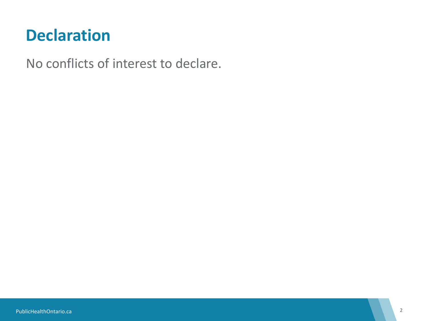#### **Declaration**

No conflicts of interest to declare.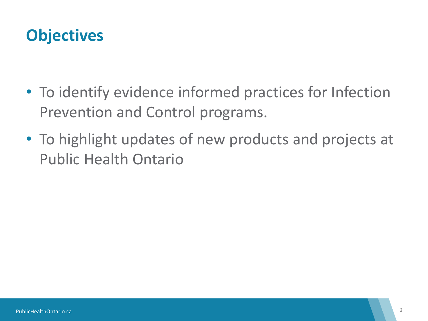#### **Objectives**

- To identify evidence informed practices for Infection Prevention and Control programs.
- To highlight updates of new products and projects at Public Health Ontario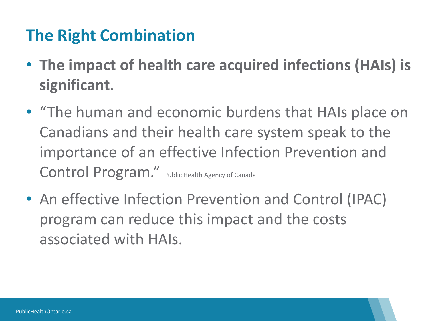### **The Right Combination**

- **The impact of health care acquired infections (HAIs) is significant**.
- "The human and economic burdens that HAIs place on Canadians and their health care system speak to the importance of an effective Infection Prevention and Control Program." Public Health Agency of Canada
- An effective Infection Prevention and Control (IPAC) program can reduce this impact and the costs associated with HAIs.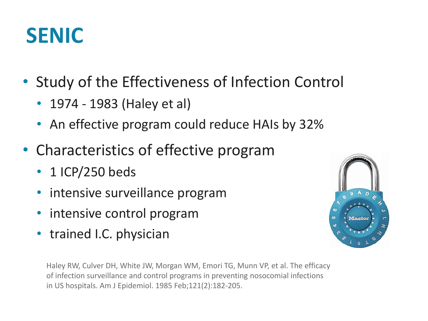## **SENIC**

- Study of the Effectiveness of Infection Control
	- 1974 1983 (Haley et al)
	- An effective program could reduce HAIs by 32%
- Characteristics of effective program
	- 1 ICP/250 beds
	- intensive surveillance program
	- intensive control program
	- trained I.C. physician

Haley RW, Culver DH, White JW, Morgan WM, Emori TG, Munn VP, et al. The efficacy of infection surveillance and control programs in preventing nosocomial infections in US hospitals. Am J Epidemiol. 1985 Feb;121(2):182-205.

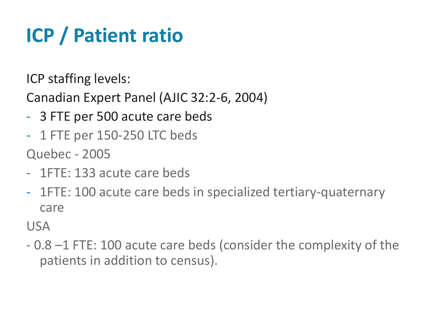# **ICP / Patient ratio**

ICP staffing levels:

Canadian Expert Panel (AJIC 32:2-6, 2004)

- 3 FTE per 500 acute care beds
- 1 FTE per 150-250 LTC beds

Quebec - 2005

- 1FTE: 133 acute care beds
- 1FTE: 100 acute care beds in specialized tertiary-quaternary care

USA

- 0.8 –1 FTE: 100 acute care beds (consider the complexity of the patients in addition to census).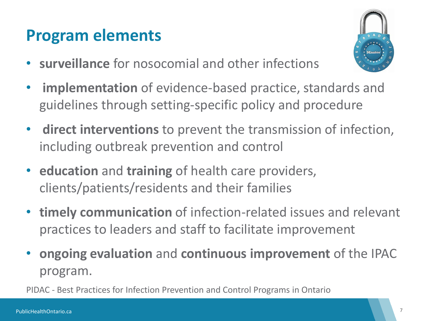#### **Program elements**

• **surveillance** for nosocomial and other infections



- **implementation** of evidence-based practice, standards and guidelines through setting-specific policy and procedure
- **direct interventions** to prevent the transmission of infection, including outbreak prevention and control
- **education** and **training** of health care providers, clients/patients/residents and their families
- **timely communication** of infection-related issues and relevant practices to leaders and staff to facilitate improvement
- **ongoing evaluation** and **continuous improvement** of the IPAC program.

PIDAC - Best Practices for Infection Prevention and Control Programs in Ontario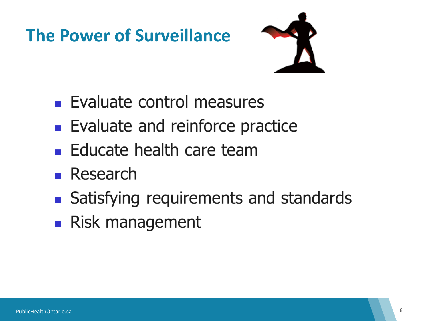## **The Power of Surveillance**



- **Evaluate control measures**
- **Evaluate and reinforce practice**
- **Educate health care team**
- $\blacksquare$  Research
- Satisfying requirements and standards
- Risk management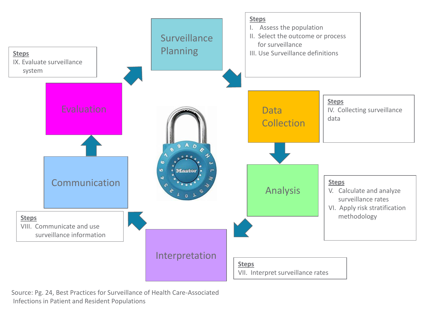

Source: Pg. 24, Best Practices for Surveillance of Health Care-Associated Infections in Patient and Resident Populations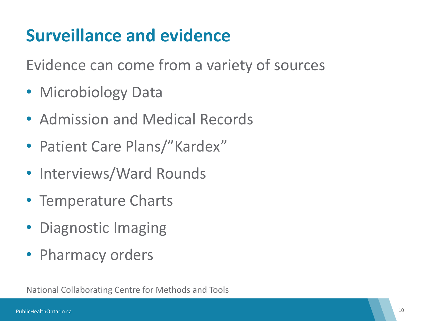## **Surveillance and evidence**

Evidence can come from a variety of sources

- Microbiology Data
- Admission and Medical Records
- Patient Care Plans/"Kardex"
- Interviews/Ward Rounds
- Temperature Charts
- Diagnostic Imaging
- Pharmacy orders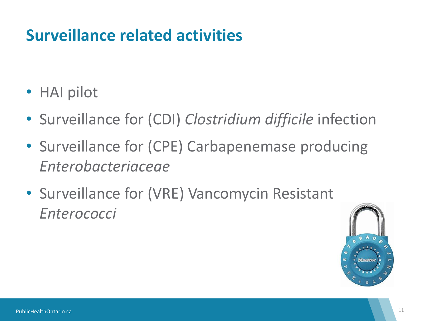#### **Surveillance related activities**

- HAI pilot
- Surveillance for (CDI) *Clostridium difficile* infection
- Surveillance for (CPE) Carbapenemase producing *Enterobacteriaceae*
- Surveillance for (VRE) Vancomycin Resistant *Enterococci*

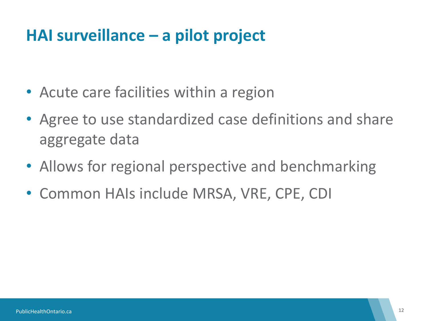#### **HAI surveillance – a pilot project**

- Acute care facilities within a region
- Agree to use standardized case definitions and share aggregate data
- Allows for regional perspective and benchmarking
- Common HAIs include MRSA, VRE, CPE, CDI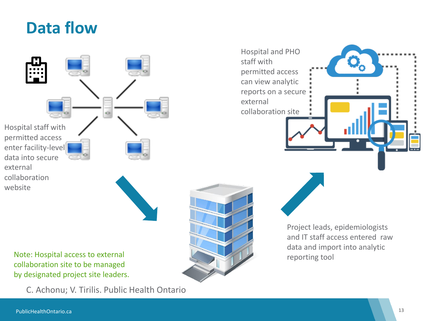



Note: Hospital access to external collaboration site to be managed by designated project site leaders.

C. Achonu; V. Tirilis. Public Health Ontario



Project leads, epidemiologists and IT staff access entered raw data and import into analytic reporting tool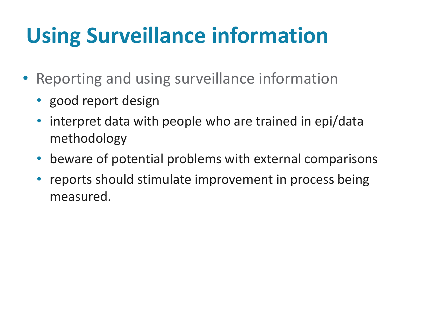# **Using Surveillance information**

- Reporting and using surveillance information
	- good report design
	- interpret data with people who are trained in epi/data methodology
	- beware of potential problems with external comparisons
	- reports should stimulate improvement in process being measured.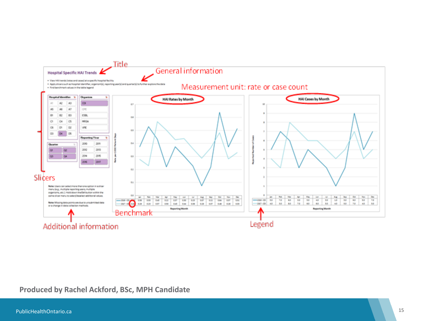

#### **Produced by Rachel Ackford, BSc, MPH Candidate**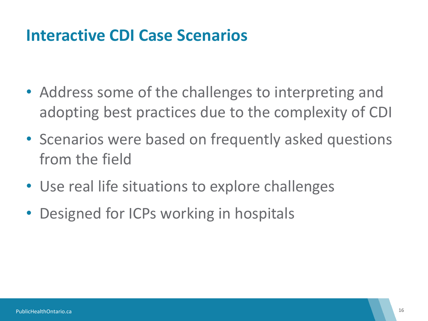#### **Interactive CDI Case Scenarios**

- Address some of the challenges to interpreting and adopting best practices due to the complexity of CDI
- Scenarios were based on frequently asked questions from the field
- Use real life situations to explore challenges
- Designed for ICPs working in hospitals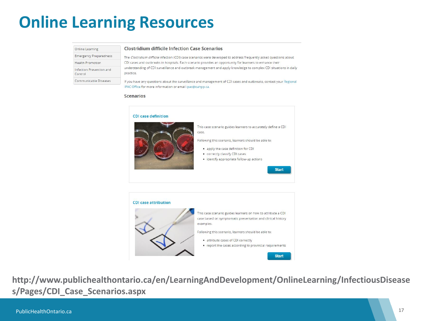#### **Online Learning Resources**

|  | Online Learning |  |
|--|-----------------|--|
|--|-----------------|--|

#### **Clostridium difficile Infection Case Scenarios**

**Emergency Preparedness Health Promotion** Infection Prevention and Control

Communicable Diseases

The Clostridium difficile infection (CDI) case scenarios were developed to address frequently asked questions about CDI cases and outbreaks in hospitals. Each scenario provides an opportunity for learners to enhance their understanding of CDI surveillance and outbreak management and apply knowledge to complex CDI situations in daily practice.

If you have any questions about the surveillance and management of CDI cases and outbreaks, contact your Regional IPAC Office for more information or email ipac@oahpp.ca.

#### **Scenarios**





**http://www.publichealthontario.ca/en/LearningAndDevelopment/OnlineLearning/InfectiousDisease s/Pages/CDI\_Case\_Scenarios.aspx**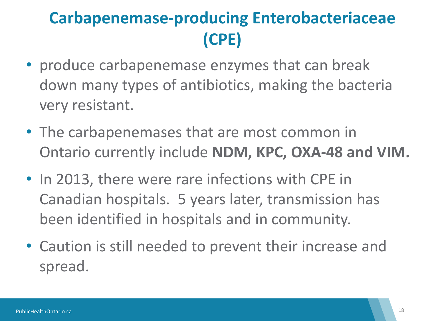## **Carbapenemase-producing Enterobacteriaceae (CPE)**

- produce carbapenemase enzymes that can break down many types of antibiotics, making the bacteria very resistant.
- The carbapenemases that are most common in Ontario currently include **NDM, KPC, OXA-48 and VIM.**
- In 2013, there were rare infections with CPE in Canadian hospitals. 5 years later, transmission has been identified in hospitals and in community.
- Caution is still needed to prevent their increase and spread.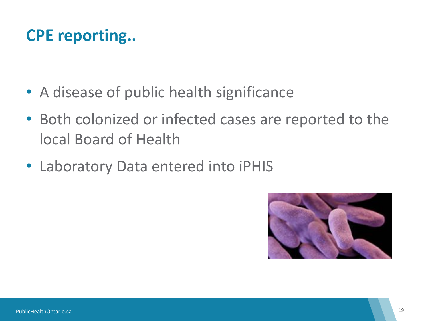#### **CPE reporting..**

- A disease of public health significance
- Both colonized or infected cases are reported to the local Board of Health
- Laboratory Data entered into iPHIS

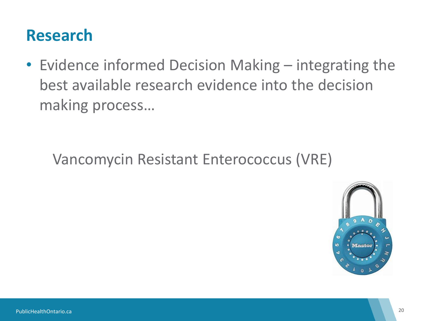#### **Research**

• Evidence informed Decision Making – integrating the best available research evidence into the decision making process…

#### Vancomycin Resistant Enterococcus (VRE)

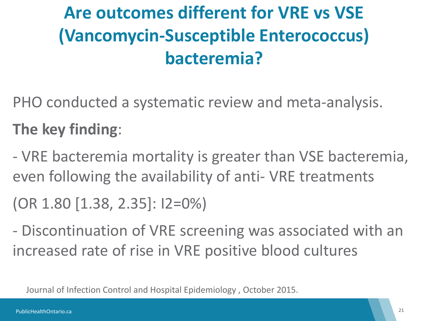## **Are outcomes different for VRE vs VSE (Vancomycin-Susceptible Enterococcus) bacteremia?**

PHO conducted a systematic review and meta-analysis.

**The key finding**:

- VRE bacteremia mortality is greater than VSE bacteremia, even following the availability of anti- VRE treatments

(OR 1.80 [1.38, 2.35]: I2=0%)

- Discontinuation of VRE screening was associated with an increased rate of rise in VRE positive blood cultures

Journal of Infection Control and Hospital Epidemiology , October 2015.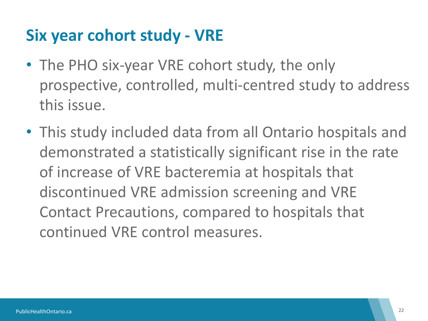#### **Six year cohort study - VRE**

- The PHO six-year VRE cohort study, the only prospective, controlled, multi-centred study to address this issue.
- This study included data from all Ontario hospitals and demonstrated a statistically significant rise in the rate of increase of VRE bacteremia at hospitals that discontinued VRE admission screening and VRE Contact Precautions, compared to hospitals that continued VRE control measures.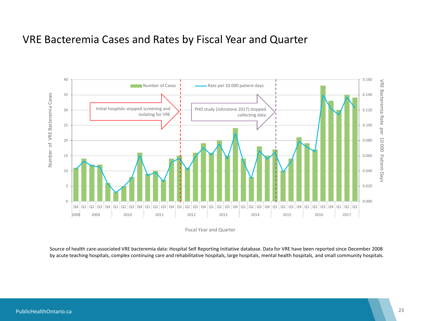#### VRE Bacteremia Cases and Rates by Fiscal Year and Quarter



Fiscal Year and Quarter

Source of health care-associated VRE bacteremia data: Hospital Self Reporting Initiative database. Data for VRE have been reported since December 2008 by acute teaching hospitals, complex continuing care and rehabilitative hospitals, large hospitals, mental health hospitals, and small community hospitals.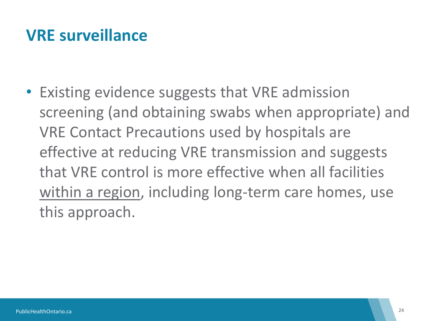#### **VRE surveillance**

• Existing evidence suggests that VRE admission screening (and obtaining swabs when appropriate) and VRE Contact Precautions used by hospitals are effective at reducing VRE transmission and suggests that VRE control is more effective when all facilities within a region, including long-term care homes, use this approach.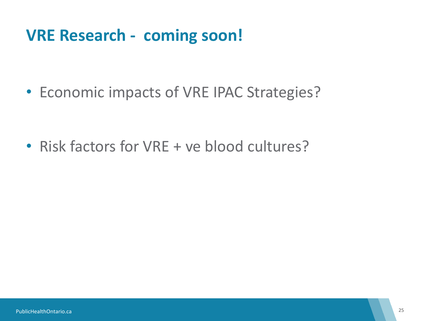#### **VRE Research - coming soon!**

• Economic impacts of VRE IPAC Strategies?

• Risk factors for VRE + ve blood cultures?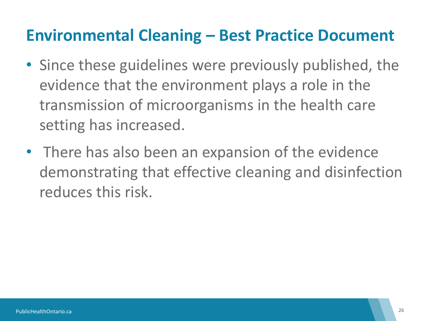#### **Environmental Cleaning – Best Practice Document**

- Since these guidelines were previously published, the evidence that the environment plays a role in the transmission of microorganisms in the health care setting has increased.
- There has also been an expansion of the evidence demonstrating that effective cleaning and disinfection reduces this risk.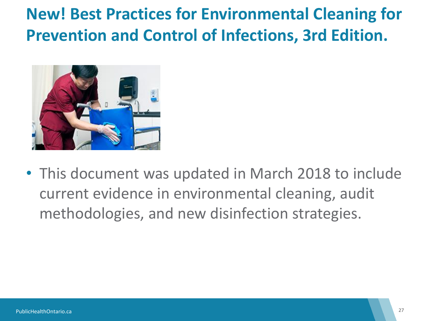### **New! Best Practices for Environmental Cleaning for Prevention and Control of Infections, 3rd Edition.**



• This document was updated in March 2018 to include current evidence in environmental cleaning, audit methodologies, and new disinfection strategies.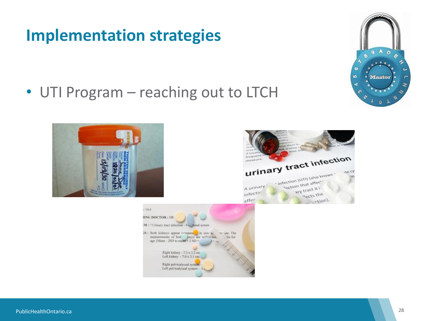#### **Implementation strategies**

• UTI Program – reaching out to LTCH







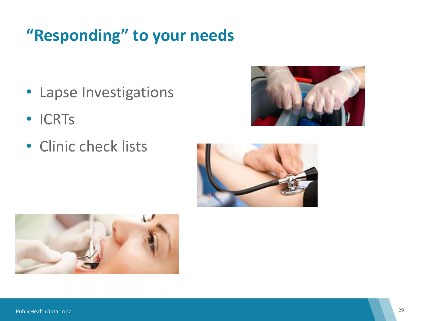#### **"Responding" to your needs**

- Lapse Investigations
- ICRTs
- Clinic check lists





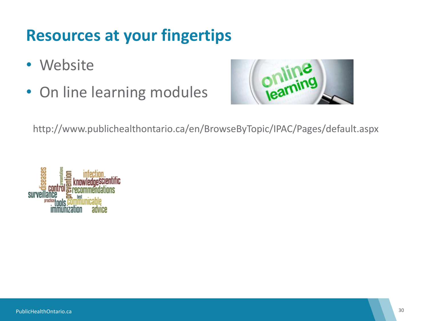#### **Resources at your fingertips**

- Website
- On line learning modules



http://www.publichealthontario.ca/en/BrowseByTopic/IPAC/Pages/default.aspx

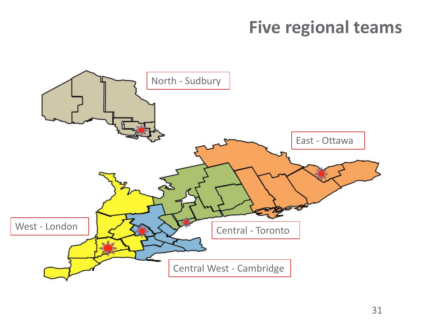### **Five regional teams**